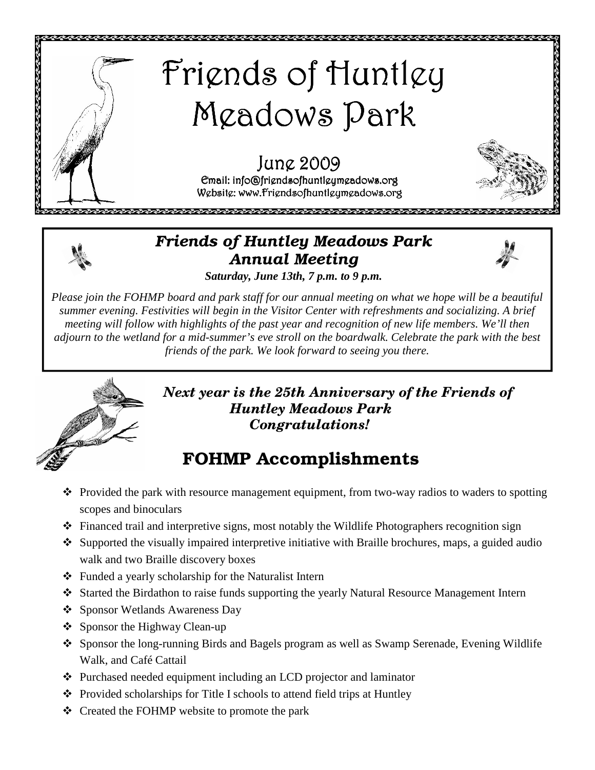

# *Friends of Huntley Meadows Park Annual Meeting*



 *Saturday, June 13th, 7 p.m. to 9 p.m.*

*Please join the FOHMP board and park staff for our annual meeting on what we hope will be a beautiful summer evening. Festivities will begin in the Visitor Center with refreshments and socializing. A brief meeting will follow with highlights of the past year and recognition of new life members. We'll then adjourn to the wetland for a mid-summer's eve stroll on the boardwalk. Celebrate the park with the best friends of the park. We look forward to seeing you there.* 



 *Next year is the 25th Anniversary of the Friends of Huntley Meadows Park Congratulations!* 

# FOHMP Accomplishments

- Provided the park with resource management equipment, from two-way radios to waders to spotting scopes and binoculars
- ◆ Financed trail and interpretive signs, most notably the Wildlife Photographers recognition sign
- Supported the visually impaired interpretive initiative with Braille brochures, maps, a guided audio walk and two Braille discovery boxes
- Funded a yearly scholarship for the Naturalist Intern
- Started the Birdathon to raise funds supporting the yearly Natural Resource Management Intern
- ❖ Sponsor Wetlands Awareness Day
- ❖ Sponsor the Highway Clean-up
- Sponsor the long-running Birds and Bagels program as well as Swamp Serenade, Evening Wildlife Walk, and Café Cattail
- $\bullet$  Purchased needed equipment including an LCD projector and laminator
- $\triangleleft$  Provided scholarships for Title I schools to attend field trips at Huntley
- Created the FOHMP website to promote the park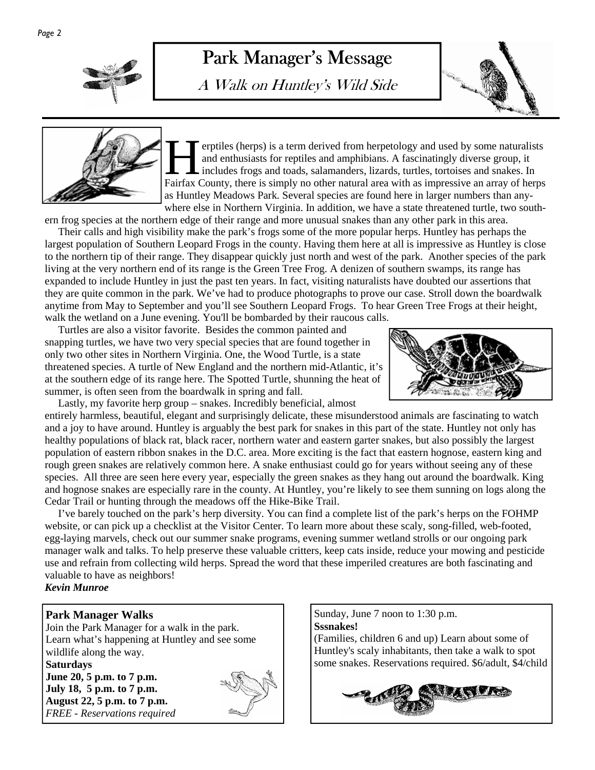

# Park Manager's Message

A Walk on Huntley's Wild Side





**EXECUTE:** The erptiles (herps) is a term derived from herpetology and used by some naturalists and enthusiasts for reptiles and amphibians. A fascinatingly diverse group, it includes frogs and toads, salamanders, lizards, and enthusiasts for reptiles and amphibians. A fascinatingly diverse group, it includes frogs and toads, salamanders, lizards, turtles, tortoises and snakes. In Fairfax County, there is simply no other natural area with as impressive an array of herps as Huntley Meadows Park. Several species are found here in larger numbers than anywhere else in Northern Virginia. In addition, we have a state threatened turtle, two south-

ern frog species at the northern edge of their range and more unusual snakes than any other park in this area.

 Their calls and high visibility make the park's frogs some of the more popular herps. Huntley has perhaps the largest population of Southern Leopard Frogs in the county. Having them here at all is impressive as Huntley is close to the northern tip of their range. They disappear quickly just north and west of the park. Another species of the park living at the very northern end of its range is the Green Tree Frog. A denizen of southern swamps, its range has expanded to include Huntley in just the past ten years. In fact, visiting naturalists have doubted our assertions that they are quite common in the park. We've had to produce photographs to prove our case. Stroll down the boardwalk anytime from May to September and you'll see Southern Leopard Frogs. To hear Green Tree Frogs at their height, walk the wetland on a June evening. You'll be bombarded by their raucous calls.

 Turtles are also a visitor favorite. Besides the common painted and snapping turtles, we have two very special species that are found together in only two other sites in Northern Virginia. One, the Wood Turtle, is a state threatened species. A turtle of New England and the northern mid-Atlantic, it's at the southern edge of its range here. The Spotted Turtle, shunning the heat of summer, is often seen from the boardwalk in spring and fall.



 Lastly, my favorite herp group – snakes. Incredibly beneficial, almost entirely harmless, beautiful, elegant and surprisingly delicate, these misunderstood animals are fascinating to watch and a joy to have around. Huntley is arguably the best park for snakes in this part of the state. Huntley not only has healthy populations of black rat, black racer, northern water and eastern garter snakes, but also possibly the largest population of eastern ribbon snakes in the D.C. area. More exciting is the fact that eastern hognose, eastern king and rough green snakes are relatively common here. A snake enthusiast could go for years without seeing any of these species. All three are seen here every year, especially the green snakes as they hang out around the boardwalk. King and hognose snakes are especially rare in the county. At Huntley, you're likely to see them sunning on logs along the Cedar Trail or hunting through the meadows off the Hike-Bike Trail.

 I've barely touched on the park's herp diversity. You can find a complete list of the park's herps on the FOHMP website, or can pick up a checklist at the Visitor Center. To learn more about these scaly, song-filled, web-footed, egg-laying marvels, check out our summer snake programs, evening summer wetland strolls or our ongoing park manager walk and talks. To help preserve these valuable critters, keep cats inside, reduce your mowing and pesticide use and refrain from collecting wild herps. Spread the word that these imperiled creatures are both fascinating and valuable to have as neighbors!

#### *Kevin Munroe*

#### **Park Manager Walks**

Join the Park Manager for a walk in the park. Learn what's happening at Huntley and see some wildlife along the way. **Saturdays June 20, 5 p.m. to 7 p.m. July 18, 5 p.m. to 7 p.m. August 22, 5 p.m. to 7 p.m.** *FREE - Reservations required*



Sunday, June 7 noon to 1:30 p.m. **Sssnakes!** 

(Families, children 6 and up) Learn about some of Huntley's scaly inhabitants, then take a walk to spot some snakes. Reservations required. \$6/adult, \$4/child

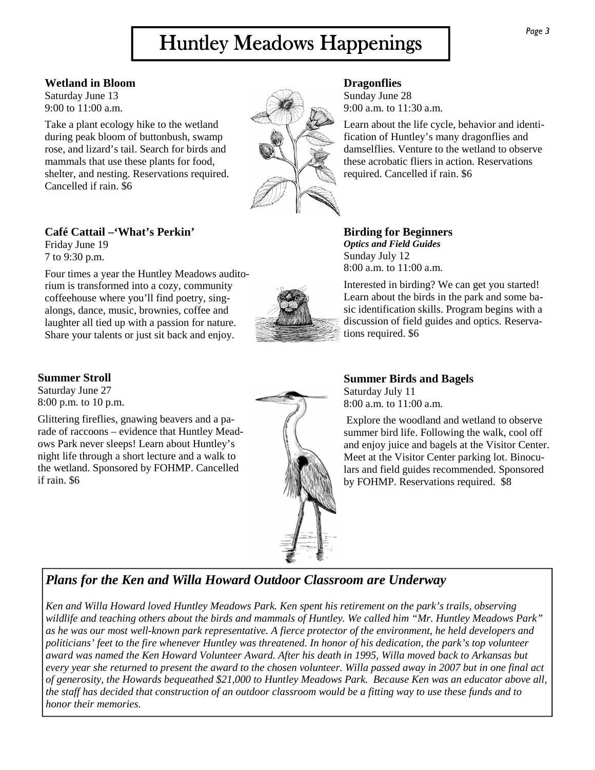# Huntley Meadows Happenings

#### **Wetland in Bloom**

Saturday June 13 9:00 to 11:00 a.m.

Take a plant ecology hike to the wetland during peak bloom of buttonbush, swamp rose, and lizard's tail. Search for birds and mammals that use these plants for food, shelter, and nesting. Reservations required. Cancelled if rain. \$6

### **Café Cattail –'What's Perkin'**

Friday June 19 7 to 9:30 p.m.

Four times a year the Huntley Meadows auditorium is transformed into a cozy, community coffeehouse where you'll find poetry, singalongs, dance, music, brownies, coffee and laughter all tied up with a passion for nature. Share your talents or just sit back and enjoy.

#### **Summer Stroll**

Saturday June 27 8:00 p.m. to 10 p.m.

Glittering fireflies, gnawing beavers and a parade of raccoons – evidence that Huntley Meadows Park never sleeps! Learn about Huntley's night life through a short lecture and a walk to the wetland. Sponsored by FOHMP. Cancelled if rain. \$6



#### **Dragonflies**

Sunday June 28 9:00 a.m. to 11:30 a.m.

Learn about the life cycle, behavior and identification of Huntley's many dragonflies and damselflies. Venture to the wetland to observe these acrobatic fliers in action. Reservations required. Cancelled if rain. \$6

**Birding for Beginners**  *Optics and Field Guides*  Sunday July 12 8:00 a.m. to 11:00 a.m.

Interested in birding? We can get you started! Learn about the birds in the park and some basic identification skills. Program begins with a discussion of field guides and optics. Reservations required. \$6

## **Summer Birds and Bagels**

Saturday July 11 8:00 a.m. to 11:00 a.m.

 Explore the woodland and wetland to observe summer bird life. Following the walk, cool off and enjoy juice and bagels at the Visitor Center. Meet at the Visitor Center parking lot. Binoculars and field guides recommended. Sponsored by FOHMP. Reservations required. \$8

# *Plans for the Ken and Willa Howard Outdoor Classroom are Underway*

*Ken and Willa Howard loved Huntley Meadows Park. Ken spent his retirement on the park's trails, observing wildlife and teaching others about the birds and mammals of Huntley. We called him "Mr. Huntley Meadows Park" as he was our most well-known park representative. A fierce protector of the environment, he held developers and politicians' feet to the fire whenever Huntley was threatened. In honor of his dedication, the park's top volunteer award was named the Ken Howard Volunteer Award. After his death in 1995, Willa moved back to Arkansas but every year she returned to present the award to the chosen volunteer. Willa passed away in 2007 but in one final act of generosity, the Howards bequeathed \$21,000 to Huntley Meadows Park. Because Ken was an educator above all, the staff has decided that construction of an outdoor classroom would be a fitting way to use these funds and to honor their memories.* 

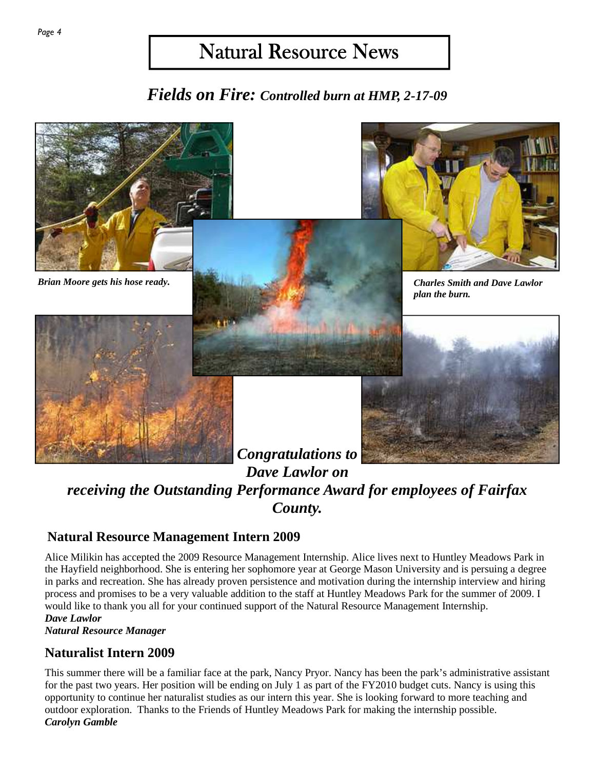# Natural Resource News

# *Fields on Fire: Controlled burn at HMP, 2-17-09*



*receiving the Outstanding Performance Award for employees of Fairfax County.* 

# **Natural Resource Management Intern 2009**

Alice Milikin has accepted the 2009 Resource Management Internship. Alice lives next to Huntley Meadows Park in the Hayfield neighborhood. She is entering her sophomore year at George Mason University and is persuing a degree in parks and recreation. She has already proven persistence and motivation during the internship interview and hiring process and promises to be a very valuable addition to the staff at Huntley Meadows Park for the summer of 2009. I would like to thank you all for your continued support of the Natural Resource Management Internship. *Dave Lawlor* 

*Natural Resource Manager* 

## **Naturalist Intern 2009**

This summer there will be a familiar face at the park, Nancy Pryor. Nancy has been the park's administrative assistant for the past two years. Her position will be ending on July 1 as part of the FY2010 budget cuts. Nancy is using this opportunity to continue her naturalist studies as our intern this year. She is looking forward to more teaching and outdoor exploration. Thanks to the Friends of Huntley Meadows Park for making the internship possible. *Carolyn Gamble*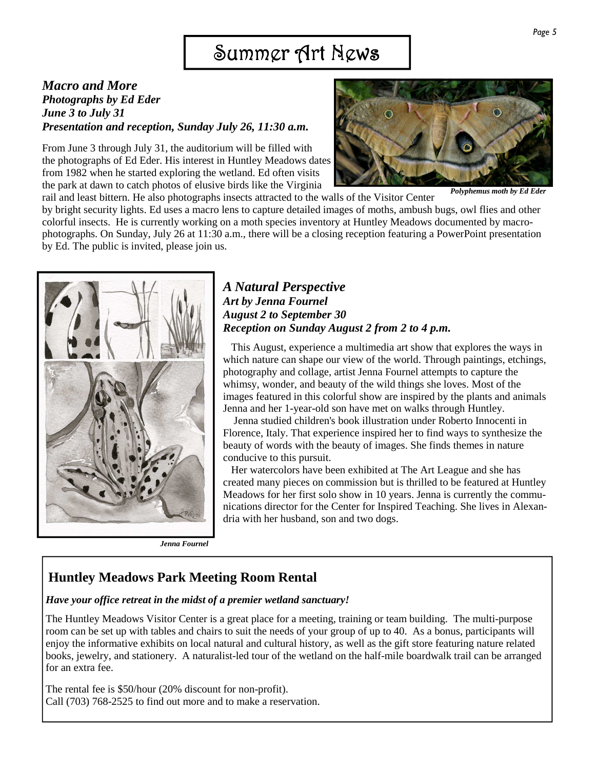#### *Macro and More Photographs by Ed Eder June 3 to July 31 Presentation and reception, Sunday July 26, 11:30 a.m.*

From June 3 through July 31, the auditorium will be filled with the photographs of Ed Eder. His interest in Huntley Meadows dates from 1982 when he started exploring the wetland. Ed often visits the park at dawn to catch photos of elusive birds like the Virginia



rail and least bittern. He also photographs insects attracted to the walls of the Visitor Center by bright security lights. Ed uses a macro lens to capture detailed images of moths, ambush bugs, owl flies and other colorful insects. He is currently working on a moth species inventory at Huntley Meadows documented by macrophotographs. On Sunday, July 26 at 11:30 a.m., there will be a closing reception featuring a PowerPoint presentation by Ed. The public is invited, please join us.



*A Natural Perspective Art by Jenna Fournel August 2 to September 30 Reception on Sunday August 2 from 2 to 4 p.m.* 

 This August, experience a multimedia art show that explores the ways in which nature can shape our view of the world. Through paintings, etchings, photography and collage, artist Jenna Fournel attempts to capture the whimsy, wonder, and beauty of the wild things she loves. Most of the images featured in this colorful show are inspired by the plants and animals Jenna and her 1-year-old son have met on walks through Huntley.

 Jenna studied children's book illustration under Roberto Innocenti in Florence, Italy. That experience inspired her to find ways to synthesize the beauty of words with the beauty of images. She finds themes in nature conducive to this pursuit.

 Her watercolors have been exhibited at The Art League and she has created many pieces on commission but is thrilled to be featured at Huntley Meadows for her first solo show in 10 years. Jenna is currently the communications director for the Center for Inspired Teaching. She lives in Alexandria with her husband, son and two dogs.

*Jenna Fournel* 

# **Huntley Meadows Park Meeting Room Rental**

### *Have your office retreat in the midst of a premier wetland sanctuary!*

The Huntley Meadows Visitor Center is a great place for a meeting, training or team building. The multi-purpose room can be set up with tables and chairs to suit the needs of your group of up to 40. As a bonus, participants will enjoy the informative exhibits on local natural and cultural history, as well as the gift store featuring nature related books, jewelry, and stationery. A naturalist-led tour of the wetland on the half-mile boardwalk trail can be arranged for an extra fee.

The rental fee is \$50/hour (20% discount for non-profit). Call (703) 768-2525 to find out more and to make a reservation.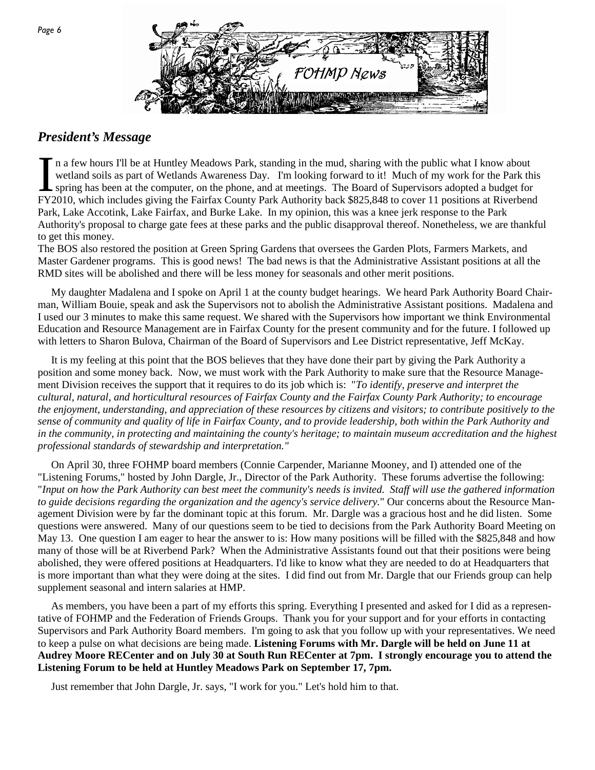

## *President's Message*

I n a few hours I'll be at Huntley Meadows Park, standing in the mud, sharing with the public what I know about wetland soils as part of Wetlands Awareness Day. I'm looking forward to it! Much of my work for the Park the s wetland soils as part of Wetlands Awareness Day. I'm looking forward to it! Much of my work for the Park this spring has been at the computer, on the phone, and at meetings. The Board of Supervisors adopted a budget for FY2010, which includes giving the Fairfax County Park Authority back \$825,848 to cover 11 positions at Riverbend Park, Lake Accotink, Lake Fairfax, and Burke Lake. In my opinion, this was a knee jerk response to the Park Authority's proposal to charge gate fees at these parks and the public disapproval thereof. Nonetheless, we are thankful to get this money.

The BOS also restored the position at Green Spring Gardens that oversees the Garden Plots, Farmers Markets, and Master Gardener programs. This is good news! The bad news is that the Administrative Assistant positions at all the RMD sites will be abolished and there will be less money for seasonals and other merit positions.

 My daughter Madalena and I spoke on April 1 at the county budget hearings. We heard Park Authority Board Chairman, William Bouie, speak and ask the Supervisors not to abolish the Administrative Assistant positions. Madalena and I used our 3 minutes to make this same request. We shared with the Supervisors how important we think Environmental Education and Resource Management are in Fairfax County for the present community and for the future. I followed up with letters to Sharon Bulova, Chairman of the Board of Supervisors and Lee District representative, Jeff McKay.

 It is my feeling at this point that the BOS believes that they have done their part by giving the Park Authority a position and some money back. Now, we must work with the Park Authority to make sure that the Resource Management Division receives the support that it requires to do its job which is: "*To identify, preserve and interpret the cultural, natural, and horticultural resources of Fairfax County and the Fairfax County Park Authority; to encourage the enjoyment, understanding, and appreciation of these resources by citizens and visitors; to contribute positively to the sense of community and quality of life in Fairfax County, and to provide leadership, both within the Park Authority and in the community, in protecting and maintaining the county's heritage; to maintain museum accreditation and the highest professional standards of stewardship and interpretation."* 

 On April 30, three FOHMP board members (Connie Carpender, Marianne Mooney, and I) attended one of the "Listening Forums," hosted by John Dargle, Jr., Director of the Park Authority. These forums advertise the following: "*Input on how the Park Authority can best meet the community's needs is invited. Staff will use the gathered information to guide decisions regarding the organization and the agency's service delivery.*" Our concerns about the Resource Management Division were by far the dominant topic at this forum. Mr. Dargle was a gracious host and he did listen. Some questions were answered. Many of our questions seem to be tied to decisions from the Park Authority Board Meeting on May 13. One question I am eager to hear the answer to is: How many positions will be filled with the \$825,848 and how many of those will be at Riverbend Park? When the Administrative Assistants found out that their positions were being abolished, they were offered positions at Headquarters. I'd like to know what they are needed to do at Headquarters that is more important than what they were doing at the sites. I did find out from Mr. Dargle that our Friends group can help supplement seasonal and intern salaries at HMP.

 As members, you have been a part of my efforts this spring. Everything I presented and asked for I did as a representative of FOHMP and the Federation of Friends Groups. Thank you for your support and for your efforts in contacting Supervisors and Park Authority Board members. I'm going to ask that you follow up with your representatives. We need to keep a pulse on what decisions are being made. **Listening Forums with Mr. Dargle will be held on June 11 at Audrey Moore RECenter and on July 30 at South Run RECenter at 7pm. I strongly encourage you to attend the Listening Forum to be held at Huntley Meadows Park on September 17, 7pm.** 

Just remember that John Dargle, Jr. says, "I work for you." Let's hold him to that.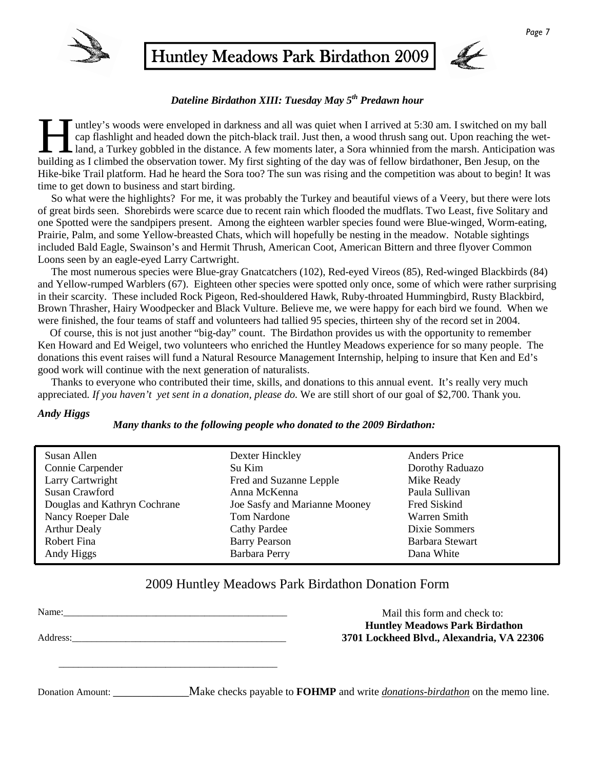

# Huntley Meadows Park Birdathon 2009



## *Dateline Birdathon XIII: Tuesday May 5th Predawn hour*

untley's woods were enveloped in darkness and all was quiet when I arrived at 5:30 am. I switched on my ball<br>cap flashlight and headed down the pitch-black trail. Just then, a wood thrush sang out. Upon reaching the wet-<br>l cap flashlight and headed down the pitch-black trail. Just then, a wood thrush sang out. Upon reaching the wetland, a Turkey gobbled in the distance. A few moments later, a Sora whinnied from the marsh. Anticipation was building as I climbed the observation tower. My first sighting of the day was of fellow birdathoner, Ben Jesup, on the Hike-bike Trail platform. Had he heard the Sora too? The sun was rising and the competition was about to begin! It was time to get down to business and start birding.

 So what were the highlights? For me, it was probably the Turkey and beautiful views of a Veery, but there were lots of great birds seen. Shorebirds were scarce due to recent rain which flooded the mudflats. Two Least, five Solitary and one Spotted were the sandpipers present. Among the eighteen warbler species found were Blue-winged, Worm-eating, Prairie, Palm, and some Yellow-breasted Chats, which will hopefully be nesting in the meadow. Notable sightings included Bald Eagle, Swainson's and Hermit Thrush, American Coot, American Bittern and three flyover Common Loons seen by an eagle-eyed Larry Cartwright.

 The most numerous species were Blue-gray Gnatcatchers (102), Red-eyed Vireos (85), Red-winged Blackbirds (84) and Yellow-rumped Warblers (67). Eighteen other species were spotted only once, some of which were rather surprising in their scarcity. These included Rock Pigeon, Red-shouldered Hawk, Ruby-throated Hummingbird, Rusty Blackbird, Brown Thrasher, Hairy Woodpecker and Black Vulture. Believe me, we were happy for each bird we found. When we were finished, the four teams of staff and volunteers had tallied 95 species, thirteen shy of the record set in 2004.

 Of course, this is not just another "big-day" count. The Birdathon provides us with the opportunity to remember Ken Howard and Ed Weigel, two volunteers who enriched the Huntley Meadows experience for so many people. The donations this event raises will fund a Natural Resource Management Internship, helping to insure that Ken and Ed's good work will continue with the next generation of naturalists.

 Thanks to everyone who contributed their time, skills, and donations to this annual event. It's really very much appreciated*. If you haven't yet sent in a donation, please do.* We are still short of our goal of \$2,700. Thank you.

#### *Andy Higgs*

#### *Many thanks to the following people who donated to the 2009 Birdathon:*

| Susan Allen<br>Connie Carpender | <b>Anders Price</b><br>Dexter Hinckley<br>Dorothy Raduazo<br>Su Kim |                 |  |
|---------------------------------|---------------------------------------------------------------------|-----------------|--|
| Larry Cartwright                | Fred and Suzanne Lepple                                             | Mike Ready      |  |
| Susan Crawford                  | Anna McKenna                                                        | Paula Sullivan  |  |
| Douglas and Kathryn Cochrane    | Joe Sasfy and Marianne Mooney                                       | Fred Siskind    |  |
| Nancy Roeper Dale               | <b>Tom Nardone</b>                                                  | Warren Smith    |  |
| <b>Arthur Dealy</b>             | <b>Cathy Pardee</b>                                                 | Dixie Sommers   |  |
| Robert Fina                     | <b>Barry Pearson</b>                                                | Barbara Stewart |  |
| Andy Higgs                      | <b>Barbara Perry</b>                                                | Dana White      |  |

### 2009 Huntley Meadows Park Birdathon Donation Form

| Name: | ______<br>______ |  |  |  |
|-------|------------------|--|--|--|
|       |                  |  |  |  |
|       |                  |  |  |  |

Address:\_\_\_\_\_\_\_\_\_\_\_\_\_\_\_\_\_\_\_\_\_\_\_\_\_\_\_\_\_\_\_\_\_\_\_\_\_\_\_\_\_\_\_\_

\_\_\_\_\_\_\_\_\_\_\_\_\_\_\_\_\_\_\_\_\_\_\_\_\_\_\_\_\_\_\_\_\_\_\_\_\_\_\_\_\_\_\_\_\_

Mail this form and check to:  **Huntley Meadows Park Birdathon 3701 Lockheed Blvd., Alexandria, VA 22306** 

Donation Amount: Make checks payable to **FOHMP** and write *donations-birdathon* on the memo line.